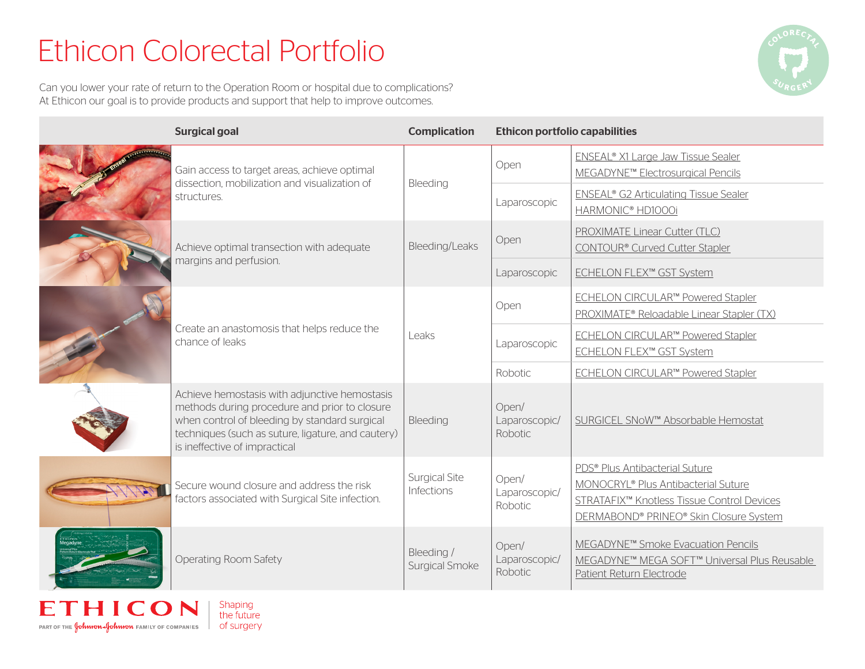# Ethicon Colorectal Portfolio

Can you lower your rate of return to the Operation Room or hospital due to complications? At Ethicon our goal is to provide products and support that help to improve outcomes.



| <b>Surgical goal</b>                                                                                                                                                                                                                   | <b>Complication</b>                 | <b>Ethicon portfolio capabilities</b>    |                                                                                                                                                                           |
|----------------------------------------------------------------------------------------------------------------------------------------------------------------------------------------------------------------------------------------|-------------------------------------|------------------------------------------|---------------------------------------------------------------------------------------------------------------------------------------------------------------------------|
| Gain access to target areas, achieve optimal<br>dissection, mobilization and visualization of<br>structures.                                                                                                                           | Bleeding                            | Open                                     | ENSEAL <sup>®</sup> X1 Large Jaw Tissue Sealer<br>MEGADYNE <sup>™</sup> Electrosurgical Pencils                                                                           |
|                                                                                                                                                                                                                                        |                                     | Laparoscopic                             | <b>ENSEAL® G2 Articulating Tissue Sealer</b><br>HARMONIC® HD1000i                                                                                                         |
| Achieve optimal transection with adequate<br>margins and perfusion.                                                                                                                                                                    | Bleeding/Leaks                      | Open                                     | PROXIMATE Linear Cutter (TLC)<br>CONTOUR® Curved Cutter Stapler                                                                                                           |
|                                                                                                                                                                                                                                        |                                     | Laparoscopic                             | ECHELON FLEX™ GST System                                                                                                                                                  |
| Create an anastomosis that helps reduce the<br>chance of leaks                                                                                                                                                                         | Leaks                               | Open                                     | ECHELON CIRCULAR™ Powered Stapler<br>PROXIMATE® Reloadable Linear Stapler (TX)                                                                                            |
|                                                                                                                                                                                                                                        |                                     | Laparoscopic                             | <b>ECHELON CIRCULAR™ Powered Stapler</b><br>ECHELON FLEX™ GST System                                                                                                      |
|                                                                                                                                                                                                                                        |                                     | Robotic                                  | ECHELON CIRCULAR™ Powered Stapler                                                                                                                                         |
| Achieve hemostasis with adjunctive hemostasis<br>methods during procedure and prior to closure<br>when control of bleeding by standard surgical<br>techniques (such as suture, ligature, and cautery)<br>is ineffective of impractical | Bleeding                            | Open/<br>Laparoscopic/<br><b>Robotic</b> | SURGICEL SNoW™ Absorbable Hemostat                                                                                                                                        |
| Secure wound closure and address the risk<br>factors associated with Surgical Site infection.                                                                                                                                          | <b>Surgical Site</b><br>Infections  | Open/<br>Laparoscopic/<br>Robotic        | PDS <sup>®</sup> Plus Antibacterial Suture<br>MONOCRYL® Plus Antibacterial Suture<br>STRATAFIX™ Knotless Tissue Control Devices<br>DERMABOND® PRINEO® Skin Closure System |
| Operating Room Safety                                                                                                                                                                                                                  | Bleeding /<br><b>Surgical Smoke</b> | Open/<br>Laparoscopic/<br>Robotic        | MEGADYNE <sup>™</sup> Smoke Evacuation Pencils<br>MEGADYNE™ MEGA SOFT™ Universal Plus Reusable<br>Patient Return Electrode                                                |